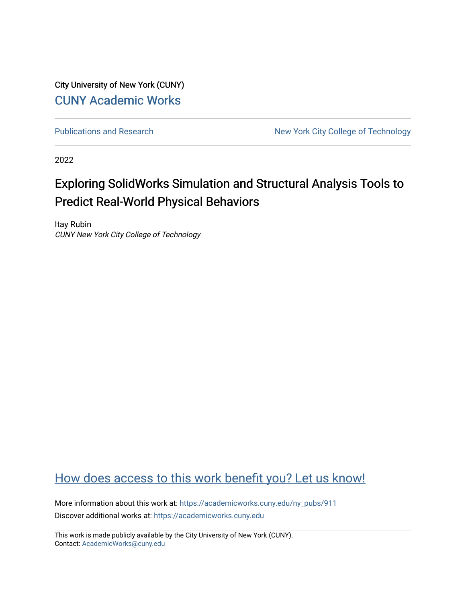City University of New York (CUNY) [CUNY Academic Works](https://academicworks.cuny.edu/) 

[Publications and Research](https://academicworks.cuny.edu/ny_pubs) New York City College of Technology

2022

### Exploring SolidWorks Simulation and Structural Analysis Tools to Predict Real-World Physical Behaviors

Itay Rubin CUNY New York City College of Technology

#### [How does access to this work benefit you? Let us know!](http://ols.cuny.edu/academicworks/?ref=https://academicworks.cuny.edu/ny_pubs/911)

More information about this work at: [https://academicworks.cuny.edu/ny\\_pubs/911](https://academicworks.cuny.edu/ny_pubs/911)  Discover additional works at: [https://academicworks.cuny.edu](https://academicworks.cuny.edu/?)

This work is made publicly available by the City University of New York (CUNY). Contact: [AcademicWorks@cuny.edu](mailto:AcademicWorks@cuny.edu)